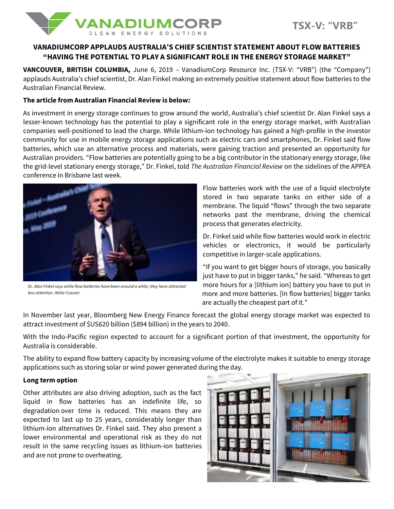

# **VANADIUMCORP APPLAUDS AUSTRALIA'S CHIEF SCIENTIST STATEMENT ABOUT FLOW BATTERIES "HAVING THE POTENTIAL TO PLAY A SIGNIFICANT ROLE IN THE ENERGY STORAGE MARKET"**

**VANCOUVER, BRITISH COLUMBIA,** June 6, 2019 – VanadiumCorp Resource Inc. (TSX-V: "VRB") (the "Company") applauds Australia's chief scientist, Dr. Alan Finkel making an extremely positive statement about flow batteries to the Australian Financial Review.

#### **The article from Australian Financial Review is below:**

As investment in energy storage continues to grow around the world, Australia's chief scientist Dr. Alan Finkel says a lesser-known technology has the potential to play a significant role in the energy storage market, with Australian companies well-positioned to lead the charge. While lithium-ion technology has gained a high-profile in the investor community for use in mobile energy storage applications such as electric cars and smartphones, Dr. Finkel said flow batteries, which use an alternative process and materials, were gaining traction and presented an opportunity for Australian providers. "Flow batteries are potentially going to be a big contributor in the stationary energy storage, like the grid-level stationary energy storage," Dr. Finkel, told *The Australian Financial Review* on the sidelines of the APPEA conference in Brisbane last week.



*Dr. Alan Finkel says while flow batteries have been around a while, they have attracted less attention. Attila Csaszar*

Flow batteries work with the use of a liquid electrolyte stored in two separate tanks on either side of a membrane. The liquid "flows" through the two separate networks past the membrane, driving the chemical process that generates electricity.

Dr. Finkel said while flow batteries would work in electric vehicles or electronics, it would be particularly competitive in larger-scale applications.

"If you want to get bigger hours of storage, you basically just have to put in bigger tanks," he said. "Whereas to get more hours for a [lithium ion] battery you have to put in more and more batteries. [In flow batteries] bigger tanks are actually the cheapest part of it."

In November last year, Bloomberg New Energy Finance forecast the global energy storage market was expected to attract investment of \$US620 billion (\$894 billion) in the years to 2040.

With the Indo-Pacific region expected to account for a significant portion of that investment, the opportunity for Australia is considerable.

The ability to expand flow battery capacity by increasing volume of the electrolyte makes it suitable to energy storage applications such as storing solar or wind power generated during the day.

# **Long term option**

Other attributes are also driving adoption, such as the fact liquid in flow batteries has an indefinite life, so degradation over time is reduced. This means they are expected to last up to 25 years, considerably longer than lithium-ion alternatives Dr. Finkel said. They also present a lower environmental and operational risk as they do not result in the same recycling issues as lithium-ion batteries and are not prone to overheating.

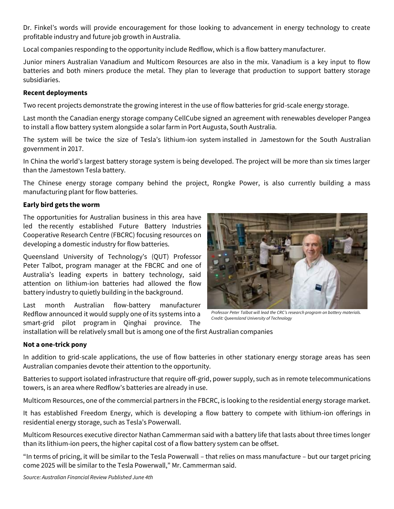Dr. Finkel's words will provide encouragement for those looking to advancement in energy technology to create profitable industry and future job growth in Australia.

Local companies responding to the opportunity include Redflow, which is a flow battery manufacturer.

Junior miners Australian Vanadium and Multicom Resources are also in the mix. Vanadium is a key input to flow batteries and both miners produce the metal. They plan to leverage that production to support battery storage subsidiaries.

## **Recent deployments**

Two recent projects demonstrate the growing interest in the use of flow batteries for grid-scale energy storage.

Last month the Canadian energy storage company CellCube signed an agreement with renewables developer Pangea to install a flow battery system alongside a solar farm in Port Augusta, South Australia.

The system will be twice the size of Tesla's lithium-ion system installed in Jamestown for the South Australian government in 2017.

In China the world's largest battery storage system is being developed. The project will be more than six times larger than the Jamestown Tesla battery.

The Chinese energy storage company behind the project, Rongke Power, is also currently building a mass manufacturing plant for flow batteries.

### **Early bird gets the worm**

The opportunities for Australian business in this area have led the recently established Future Battery Industries Cooperative Research Centre (FBCRC) focusing resources on developing a domestic industry for flow batteries.

Queensland University of Technology's (QUT) Professor Peter Talbot, program manager at the FBCRC and one of Australia's leading experts in battery technology, said attention on lithium-ion batteries had allowed the flow battery industry to quietly building in the background.

Last month Australian flow-battery manufacturer Redflow announced it would supply one of its systems into a smart-grid pilot program in Qinghai province. The



*Professor Peter Talbot will lead the CRC's research program on battery materials. Credit: Queensland University of Technology*

installation will be relatively small but is among one of the first Australian companies

#### **Not a one-trick pony**

In addition to grid-scale applications, the use of flow batteries in other stationary energy storage areas has seen Australian companies devote their attention to the opportunity.

Batteries to support isolated infrastructure that require off-grid, power supply, such as in remote telecommunications towers, is an area where Redflow's batteries are already in use.

Multicom Resources, one of the commercial partners in the FBCRC, is looking to the residential energy storage market.

It has established Freedom Energy, which is developing a flow battery to compete with lithium-ion offerings in residential energy storage, such as Tesla's Powerwall.

Multicom Resources executive director Nathan Cammerman said with a battery life that lasts about three times longer than its lithium-ion peers, the higher capital cost of a flow battery system can be offset.

"In terms of pricing, it will be similar to the Tesla Powerwall – that relies on mass manufacture – but our target pricing come 2025 will be similar to the Tesla Powerwall," Mr. Cammerman said.